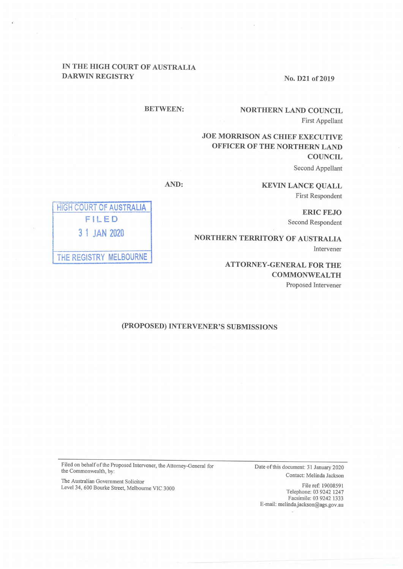## IN THE HIGH COURT OF AUSTRALIA DARWIN REGISTRY

No. 021 of 2019

### BETWEEN:

# NORTHERN LAND COUNCIL First Appellant

# JOE MORRISON As CHIEF EXECUTIVE OFFICER OF THE NORTHERN LAND **COUNCIL** Second Appellant

**KEVIN LANCE QUALL** First Respondent

AND:

HIGH COURT OF AUSTRALIA FILED 3 I JAN 2020 THE REGISTRY MELBOURNE

ERIC FEJO Second Respondent

NORTHERN TERRITORY OF AUSTRALIA Intervener

> ATTORNEY-GENERAL FOR THE **COMMONWEALTH** Proposed Intervener

### (PROPOSED)INTERVENER'S SUBMISSIONS

Date of this document: 31 January 2020 Contact: MeIinda Jackson

File ref: 19008591 Telephone: 0392421247 Facsimile: 03 9242 1333 E-mail: melinda.jackson@ags.gov.au

Filed on behalf of the Proposed Intervener, the Attorney-General for the Commonwealth, by:

The Australian Government Solicitor Level 34, 600 Bourke Street, Melbourne VIC 3000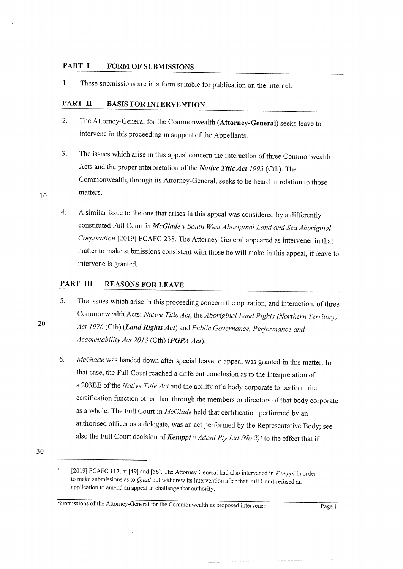#### PART I FORM OF SUBMISSIONS

1. These submissions are in a form suitable for publication on the internet.

### PART II BASIS FOR INTERVENTION

- 2. The Attorney-General for the Commonwealth (Attorney-General) seeks leave to intervene in this proceeding in support of the Appellants.
- The issues which arise in this appeal concern the interaction of three Commonwealth Acts and the proper interpretation of the Native Title Act 1993 (Cth). The Commonwealth, through its Attorney-General, seeks to be heard in relation to those 3. <sup>10</sup> matters.
	- A similar issue to the one that arises in this appeal was considered by a differentl constituted Full Court in  $McG$  v South West Aboriginal Land and Sea Aboriginal Corporation [2019] FCAFC 238. The Attorney-General appeared as intervener in that matter to make submissions consistent with those he will make in this appeal, if leave to intervene is granted. 4.

### PART III REASONS FOR LEAVE

- 5. The issues which arise in this proceeding concern the operation, and interaction, of three Commonwealth Acts: Native Title Act, the Aboriginal Land Rights (Northern Territory) Act 1976 (Cth) (Land Rights Act) and Public Governance, Performance and Accountability Act 2013 (Cth) (PGPA Act).
- McGlade was handed down after special leave to appeal was granted in this matter. In that case, the Full Court reached a different conclusion as to the interpretation of s 203BE of the Native Title Act and the ability of a body corporate to perform the certification function other than through the members or directors of that body corporate as a whole. The Full Court in McGlade held that certification performed by an authorised officer as a delegate, was an act performed by the Representative Body; see also the Full Court decision of *Kemppi v Adani Pty Ltd* (No 2)<sup> $\prime$ </sup> to the effect that if 6.
- 30

<sup>[2019]</sup> FCAFC 117, at [49] and [56]. The Attorney General had also intervened in Kemppi in order to make submissions as to  $\mathcal{Q}$ uall but withdrew its intervention after that Full Court refused an application to amend an appeal to challenge that authority

Submissions of the Attorney-General for the Commonwealth as proposed intervener Page I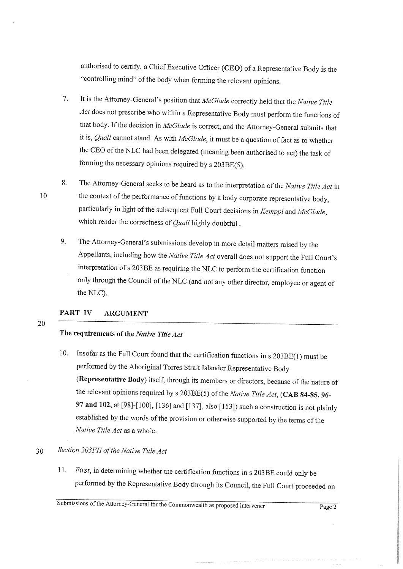authorised to certify, a Chief Executive Officer (CEO) of a Representative Body is the "controlling mind" of the body when forming the relevant opinions.

- It is the Attorney-General's position that McGlade correctly held that the Native Title Act does not prescribe who within a Representative Body must perform the functions of that body. If the decision in McGlade is correct, and the Attorney-General submits that it is, Quall cannot stand. As with  $McG$  it must be a question of fact as to whether the CEO of the NLC had been delegated (meaning been authorised to act) the task of forming the necessary opinions required by s 203BE(5). 7
- The Attorney-General seeks to be heard as to the interpretation of the Native Title Act in the context of the performance of functions by a body corporate representative body, particularly in light of the subsequent Full Court decisions in Kemppi and McGlade, which render the correctness of  $Qual$  highly doubtful. 8.
	- The Attorney-General's submissions develop in more detail matters raised by the Appellants, including how the Native Title Act overall does not support the Full Court's interpretation of s 203BE as requiring the NLC to perform the certification function only through the Council of the NLC (and not any other director, employee or agent of the NLC). 9.

#### PART IV ARGUMENT

### The requirements of the Native Title Act

Insofar as the Full Court found that the certification functions in  $s$  203BE(1) must be performed by the Aboriginal Torres Strait Islander Representative Bod (Representative Body) itself, through its members or directors, because of the nature of the relevant opinions required by s 203BE(5) of the Native Title Act, (CAB 84-85, 96-97 and 102, at [98]-[100], [136] and [137], also [153]) such a construction is not plainly established by the words of the provision or otherwise supported by the terms of the Native Title Act as a whole. 10.

#### Section 203FH of the Native Title Act 30

First, in determining whether the certification functions in  $s$  203BE could only be performed by the Representative Body through its Council, the Full Court proceeded on 11.

Submissions of the Attorney-General for the Commonwealth as proposed intervener Page 2

10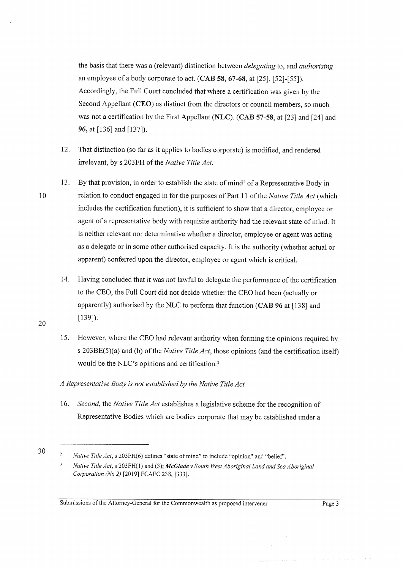the basis that there was a (relevant) distinction between *delegating* to, and *authorising* an employee of a body corporate to act.  $(CAB 58, 67-68, at [25], [52] - [55]).$ Accordingly, the Full Court concluded that where a certification was given by the Second Appellant (CEO) as distinct from the directors or council members, so much was not a certification by the First Appellant (NLC). (CAB 57-58, at [23] and [24] and 96, at [136] and [137]).

- 12. That distinction (so far as it applies to bodies corporate) is modified, and rendered irrelevant, by s 203FH of the Native Title Act.
- 13. By that provision, in order to establish the state of mind<sup>2</sup> of a Representative Body in relation to conduct engaged in for the purposes of Part 11 of the Native Title Act (which includes the certification function), it is sufficient to show that a director, employee or agent of a representative body with requisite authority had the relevant state of mind. It is neither relevant nor determinative whether a director, employee or agent was acting as a delegate or in some other authorised capacity. It is the authority (whether actual or apparent) conferred upon the director, employee or agent which is critical.
- 14. Having concluded that it was not lawful to delegate the performance of the certification to the CEO, the Full Court did not decide whether the CEO had been (actually or apparently) authorised by the NLC to perform that function (CAB 96 at 11381 and  $[139]$ ).
- 15. However, where the CEO had relevant authority when forming the opinions required by s 203BE(5)(a) and (b) of the *Native Title Act*, those opinions (and the certification itself) would be the NLC's opinions and certification.<sup>3</sup>

### A Representative Body is not established by the Native Title Act

16. Second, the Native Title Act establishes a legislative scheme for the recognition of Representative Bodies which are bodies corporate that may be established under a

10

<sup>30</sup> <sup>a</sup>

Native Title Act, s 203FH(6) defines "state of mind" to include "opinion" and "belief".

<sup>,</sup> Native Title Act, s 203FH(1) and (3); McGlade v South West Aboriginal Land and Sea Aboriginal Corporation (No 2) [2019] FCAFC 238, [333].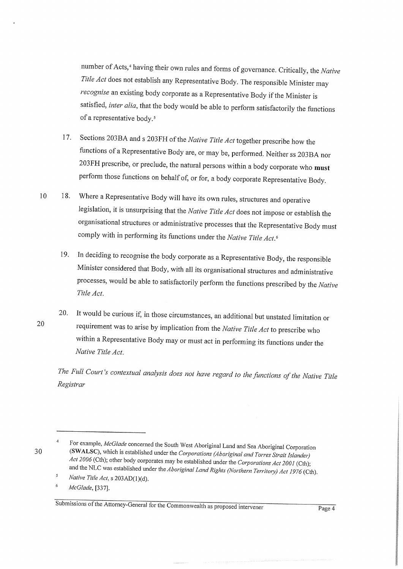number of Acts,<sup>4</sup> having their own rules and forms of governance. Critically, the Native Title Act does not establish any Representative Body. The responsible Minister may recognise an existing body corporate as a Representative Body if the Minister is satisfied, inter alia, that the body would be able to perform satisfactorily the functions of a representative body.<sup>5</sup>

- Sections 203BA and s 203FH of the Native Title Act together prescribe how the 17. functions of a Representative Body are, or may be, performed. Neither ss 203BA nor 203FH prescribe, or preclude, the natural persons within a body corporate who must perform those functions on behalf of, or for, a body corporate Representative Body.
- Where a Representative Body will have its own rules, structures and operative  $10$ 18. legislation, it is unsurprising that the Native Title Act does not impose or establish the organisational structures or administrative processes that the Representative Body must comply with in performing its functions under the Native Title Act.<sup>6</sup>
	- In deciding to recognise the body corporate as a Representative Body, the responsible 19. Minister considered that Body, with all its organisational structures and administrative processes, would be able to satisfactorily perform the functions prescribed by the Native Title Act.
- It would be curious if, in those circumstances, an additional but unstated limitation or **20.** 20 requirement was to arise by implication from the Native Title Act to prescribe who within a Representative Body may or must act in performing its functions under the Native Title Act.

The Full Court's contextual analysis does not have regard to the functions of the Native Title Registrar

For example, McGlade concerned the South West Aboriginal Land and Sea Aboriginal Corporation (SWALSC), which is established under the Corporations (Aboriginal and Torres Strait Islander) Act 2006 (Cth); other body corporates may be established under the Corporations Act 2001 (Cth); and the NLC was established under the Aboriginal Land Rights (Northern Territory) Act 1976 (Cth).

 $\overline{5}$ Native Title Act, s 203AD(1)(d).

<sup>6</sup> McGlade, [337].

Submissions of the Attorney-General for the Commonwealth as proposed intervener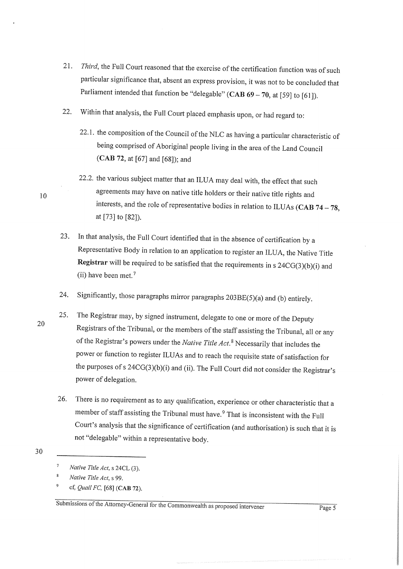- 21. Third, the Full Court reasoned that the exercise of the certification function was of such particular significance that, absent an express provision, it was not to be concluded that Parliament intended that function be "delegable" (CAB  $69 - 70$ , at [59] to [61]).
- Within that analysis, the Full Court placed emphasis upon, or had regard to: 22.
	- 22.1. the composition of the Council of the NLC as having a particular characteristic of being comprised of Aboriginal people living in the area of the Land Council  $(CAB 72, at [67] and [68])$ ; and
	- 22.2. the various subject matter that an ILUA may deal with, the effect that such agreements may have on native title holders or their native title rights and interests, and the role of representative bodies in relation to ILUAs (CAB  $74 - 78$ , at [73] to [82]).
- In that analysis, the Full Court identified that in the absence of certification by a Representative Body in relation to an application to register an ILUA, the Native Title Registrar will be required to be satisfied that the requirements in  $s$  24CG(3)(b)(i) and (ii) have been met.<sup>7</sup> 23.
- Significantly, those paragraphs mirror paragraphs  $203BE(5)(a)$  and (b) entirely. 24.
- The Registrar may, by signed instrument, delegate to one or more of the Deputy Registrars of the Tribunal, or the members of the staff assisting the Tribunal, all or any of the Registrar's powers under the *Native Title Act*.<sup>8</sup> Necessarily that includes the power or function to register ILUAs and to reach the requisite state of satisfaction for the purposes of s  $24CG(3)(b)(i)$  and (ii). The Full Court did not consider the Registrar's power of delegation. 20 25.
	- 26. There is no requirement as to any qualification, experience or other characteristic that a member of staff assisting the Tribunal must have.<sup>9</sup> That is inconsistent with the Full Court's analysis that the significance of certification (and authorisation) is such that it ' not "delegable" within a representative body.
- 30

7

cf, Quall FC, [68] (CAB 72).

Native Title Act, s 24CL (3).

<sup>8</sup> Native Title Act, s 99.

Submissions of the Attorney-General for the Commonwealth as proposed intervener Page 5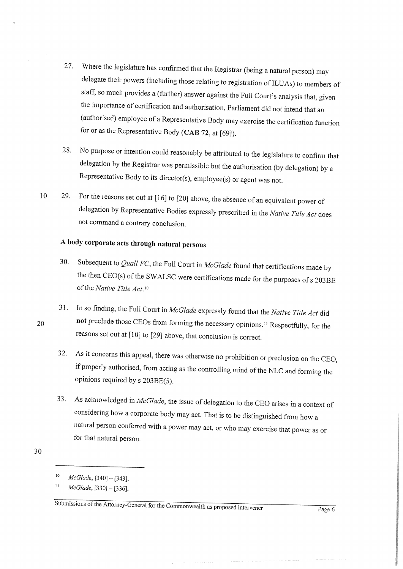- Where the legislature has confirmed that the Registrar (being a natural person) may delegate their powers (including those relating to registration of ILUAs) to members of staff, so much provides a (further) answer against the Full Court's analysis that, given the importance of certification and authorisation, Parliament did not intend that an (authorised) employee of a Representative Body may exercise the certification function for or as the Representative Body (CAB 72, at  $[69]$ ). 27.
- No purpose or intention could reasonably be attributed to the legislature to confirm that delegation by the Registrar was permissible but the authorisation (by delegation) by a Representative Body to its director(s), employee(s) or agent was not. 28.
- 29. For the reasons set out at  $[16]$  to  $[20]$  above, the absence of an equivalent power of delegation by Representative Bodies expressly prescribed in the Native Title Act does not command a contrary conclusion. 10

# A body corporate acts through natural persons

- 30. Subsequent to *Quall FC*, the Full Court in *McGlade* found that certifications made by the then CEO(s) of the SWALSC were certifications made for the purposes of s 203BE of the Native Title Act.<sup>10</sup>
- In so finding, the Full Court in McGlade expressly found that the Native Title Act did not preclude those CEOs from forming the necessary opinions.<sup>11</sup> Respectfully, for the reasons set out at [10] to [29] above, that conclusion is correct. 31.
	- 32. As it concerns this appeal, there was otherwise no prohibition or preclusion on the CEO, if properly authorised, from acting as the controlling mind of the NLC and forming the opinions required by s 203BE(5).
- As acknowledged in McGlade, the issue of delegation to the CEO arises in a context of considering how a corporate body may act. That is to be distinguished from how a natural person conferred with a power may act, or who may exercise that power as or for that natural person. 33.

20

.

Page 6

**SERVICES** 

<sup>30</sup>

 $10$  McGlade, [340] - [343].

McGlade, [330] - [336]. 11

Submissions of the Attorney-General for the Commonwealth as proposed intervener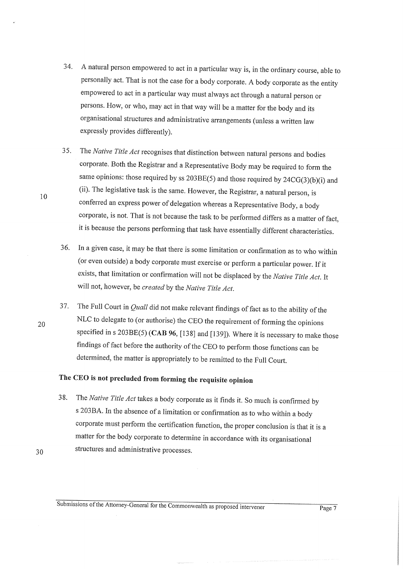- A natural person empowered to act in a particular way is, in the ordinary course, able to personally act. That is not the case for a body corporate. A body corporate as the entity empowered to act in a particular way must always act through a natural person or persons. How, or who, may act in that way will be a matter for the body and its organisational structures and administrative arrangements (unless a written law expressly provides differently). 34.
- The Native Title Act recognises that distinction between natural persons and bodies corporate. Both the Registrar and a Representative Body may be required to form the same opinions: those required by ss  $203BE(5)$  and those required by  $24CG(3)(b)(i)$  and (ii). The legislative task is the same. However, the Registrar, a natural person, is conferred an express power of delegation whereas a Representative Body, a body corporate, is not. That is not because the task to be performed differs as a matter of fact, it is because the persons performing that task have essentially different characteristics. 35
- In a given case, it may be that there is some limitation or confirmation as to who within (or even outside) a body corporate must exercise or perform a particular power. If it exists, that limitation or confirmation will not be displaced by the Native Title Act. It will not, however, be created by the Native Title Act. 36.
- The Full Court in *Quall* did not make relevant findings of fact as to the ability of the NLC to delegate to (or authorise) the CEO the requirement of forming the opinions specified in s  $203BE(5)$  (CAB 96, [138] and [139]). Where it is necessary to make those findings of fact before the authority of the CEO to perform those functions can be determined, the matter is appropriately to be remitted to the Full Court. 37

# The CEO is not precluded from forming the requisite opinion

38. The Native Title Act takes a body corporate as it finds it. So much is confirmed by s 203BA. In the absence of a limitation or confirmation as to who within a body corporate must perform the certification function, the proper conclusion is that it is a matter for the body corporate to determine in accordance with its organisational structures and administrative processes.

10

20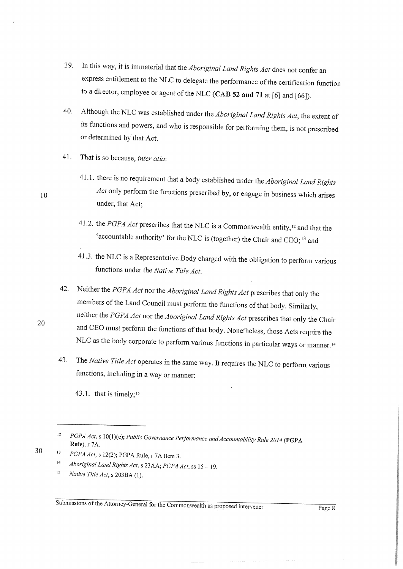- In this way, it is immaterial that the *Aboriginal Land Rights Act* does not confer an 39. express entitlement to the NLC to delegate the performance of the certification function to a director, employee or agent of the NLC (CAB 52 and 71 at [6] and [66]).
- Although the NLC was established under the Aboriginal Land Rights Act, the extent of  $40.$ its functions and powers, and who is responsible for performing them, is not prescribed or determined by that Act.
- That is so because, inter alia: 41.
	- 41.1. there is no requirement that a body established under the Aboriginal Land Rights Act only perform the functions prescribed by, or engage in business which arises under, that Act;
	- 41.2. the PGPA Act prescribes that the NLC is a Commonwealth entity,<sup>12</sup> and that the 'accountable authority' for the NLC is (together) the Chair and CEO;<sup>13</sup> and
	- 41.3. the NLC is a Representative Body charged with the obligation to perform various functions under the Native Title Act.
- Neither the PGPA Act nor the Aboriginal Land Rights Act prescribes that only the 42. members of the Land Council must perform the functions of that body. Similarly, neither the PGPA Act nor the Aboriginal Land Rights Act prescribes that only the Chair and CEO must perform the functions of that body. Nonetheless, those Acts require the NLC as the body corporate to perform various functions in particular ways or manner.<sup>14</sup>
- The Native Title Act operates in the same way. It requires the NLC to perform various 43. functions, including in a way or manner:

43.1. that is timely;<sup>15</sup>

Submissions of the Attorney-General for the Commonwealth as proposed intervener

10

20

 $12$ PGPA Act, s 10(1)(e); Public Governance Performance and Accountability Rule 2014 (PGPA Rule), r 7A.

 $13$ PGPA Act, s 12(2); PGPA Rule, r 7A Item 3.

 $14$ Aboriginal Land Rights Act, s 23AA; PGPA Act, ss 15 - 19.

 $15$ Native Title Act, s 203BA (1).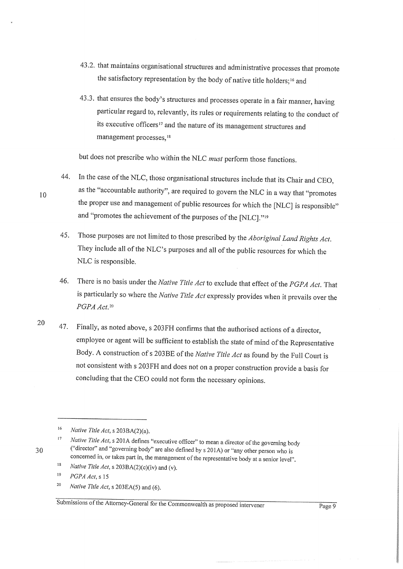- 43.2. that maintains organisational structures and administrative processes that promote the satisfactory representation by the body of native title holders;<sup>16</sup> and
- 43.3. that ensures the body's structures and processes operate in a fair manner, having particular regard to, relevantly, its rules or requirements relating to the conduct of its executive officers<sup>17</sup> and the nature of its management structures and management processes,<sup>18</sup>

but does not prescribe who within the NLC *must* perform those functions.

- In the case of the NLC, those organisational structures include that its Chair and CEO, as the "accountable authority", are required to govern the NLC in a way that "promotes the proper use and management of public resources for which the [NLC] is responsible" and "promotes the achievement of the purposes of the [NLC]."<sup>19</sup> 44.
- Those purposes are not limited to those prescribed by the Aboriginal Land Rights Act. They include all of the NLC's purposes and all of the public resources for which th NLC is responsible. 45.
- There is no basis under the Native Title Act to exclude that effect of the PGPA Act. That is particularly so where the Native Title Act expressly provides when it prevails over the PGPA Act.<sup>20</sup> 46.
- 20  $\,$  47. Finally, as noted above, s 203FH confirms that the authorised actions of a director, employee or agent will be sufficient to establish the state of mind of the Representative Body. A construction of s 203BE of the Native Title Act as found by the Full Court is not consistent with s 203FH and does not on a proper construction provide a basis for concluding that the CEO could not form the necessary opinions.

Native Title Act, s 203EA(5) and (6). 20

Submissions of the Attorney-General for the Commonwealth as proposed intervener Page 9

10

.

<sup>16</sup> Native Title Act,  $s$  203BA(2)(a).

<sup>17</sup> Native Title Act, s 201A defines "executive officer" to mean a director of the governing body ("director" and "governing body" are also defined by s 201A) or "any other person whois concerned in, or takes part in, the management of the representative body at a senior level"

Native Title Act, s  $203BA(2)(c)(iv)$  and (v). 18

 $PGPA$  Act, s 15 19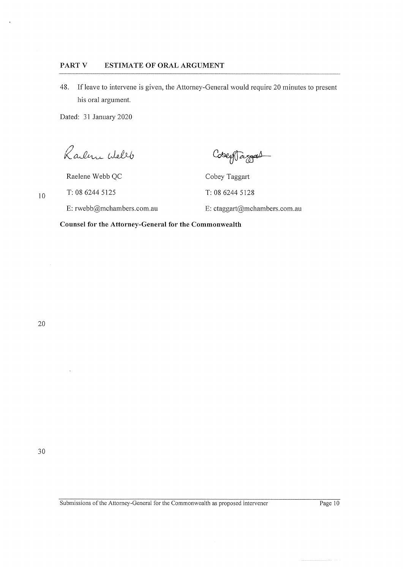#### PART V ESTIMATE OF ORAL ARGUMENT

48. If leave to intervene is given, the Attorney-General would require 20 minutes to present his oral argument

Dated: 31 January 2020

 $\mathcal{R}$ arlene Wellb

Cobey Targas

Raelene Webb QC Cobey Taggart

T: 08 6244 5125 T: 08 6244 5128

E: rwebb@mchambers.com.au E: ctaggart@mchambers.com.au

Counsel for the Attorney-General for the Commonwealth

20

10

.